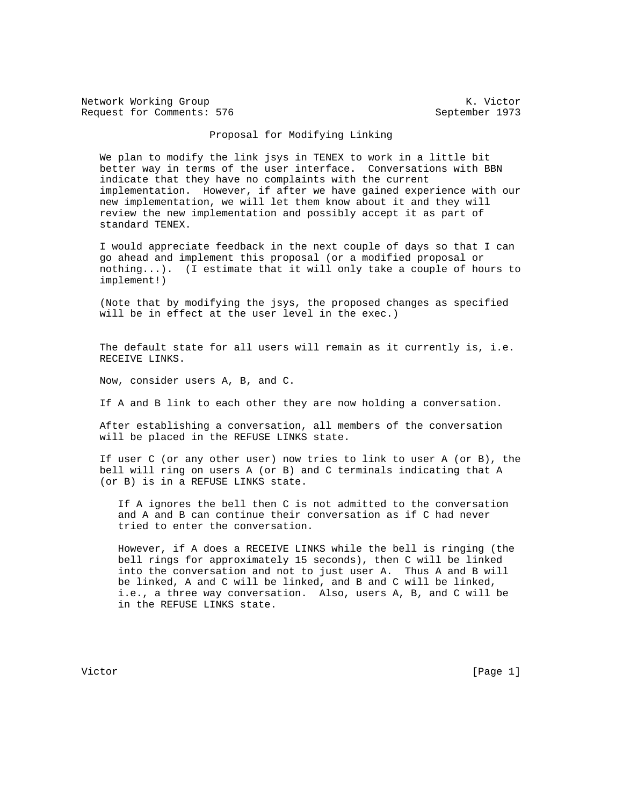Network Working Group Network Working Group Network Working Group Request for Comments: 576 September 1973

## Proposal for Modifying Linking

 We plan to modify the link jsys in TENEX to work in a little bit better way in terms of the user interface. Conversations with BBN indicate that they have no complaints with the current implementation. However, if after we have gained experience with our new implementation, we will let them know about it and they will review the new implementation and possibly accept it as part of standard TENEX.

 I would appreciate feedback in the next couple of days so that I can go ahead and implement this proposal (or a modified proposal or nothing...). (I estimate that it will only take a couple of hours to implement!)

 (Note that by modifying the jsys, the proposed changes as specified will be in effect at the user level in the exec.)

 The default state for all users will remain as it currently is, i.e. RECEIVE LINKS.

Now, consider users A, B, and C.

If A and B link to each other they are now holding a conversation.

 After establishing a conversation, all members of the conversation will be placed in the REFUSE LINKS state.

 If user C (or any other user) now tries to link to user A (or B), the bell will ring on users A (or B) and C terminals indicating that A (or B) is in a REFUSE LINKS state.

 If A ignores the bell then C is not admitted to the conversation and A and B can continue their conversation as if C had never tried to enter the conversation.

 However, if A does a RECEIVE LINKS while the bell is ringing (the bell rings for approximately 15 seconds), then C will be linked into the conversation and not to just user A. Thus A and B will be linked, A and C will be linked, and B and C will be linked, i.e., a three way conversation. Also, users A, B, and C will be in the REFUSE LINKS state.

Victor [Page 1]